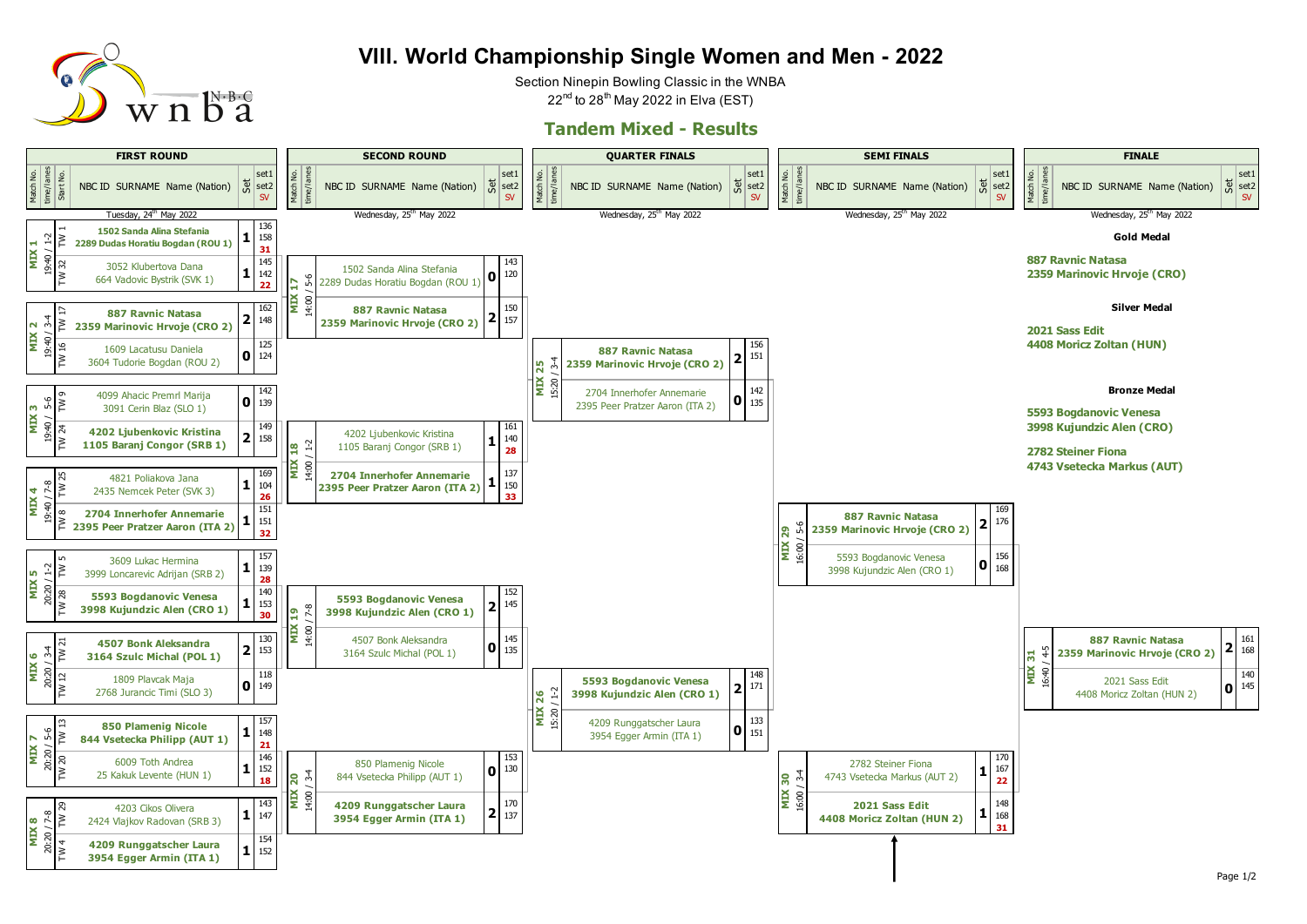

## **VIII. World Championship Single Women and Men - 2022**

Section Ninepin Bowling Classic in the WNBA  $22<sup>nd</sup>$  to 28<sup>th</sup> May 2022 in Elva (EST)

## **Tandem Mixed - Results**